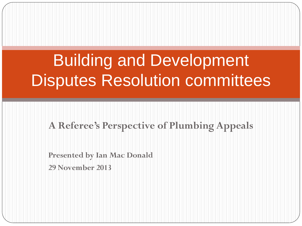# Building and Development Disputes Resolution committees

#### **A Referee's Perspective of Plumbing Appeals**

**Presented by Ian Mac Donald 29 November 2013**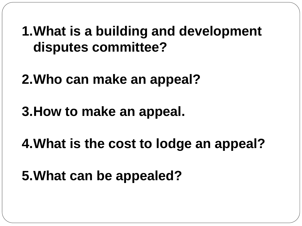**1.What is a building and development disputes committee?**

**2.Who can make an appeal?**

**3.How to make an appeal.**

**4.What is the cost to lodge an appeal?**

**5.What can be appealed?**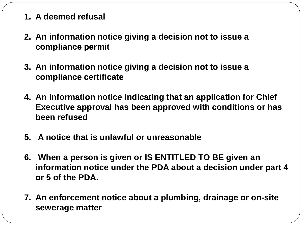#### **1. A deemed refusal**

- **2. An information notice giving a decision not to issue a compliance permit**
- **3. An information notice giving a decision not to issue a compliance certificate**
- **4. An information notice indicating that an application for Chief Executive approval has been approved with conditions or has been refused**
- **5. A notice that is unlawful or unreasonable**
- **6. When a person is given or IS ENTITLED TO BE given an information notice under the PDA about a decision under part 4 or 5 of the PDA.**
- **7. An enforcement notice about a plumbing, drainage or on-site sewerage matter**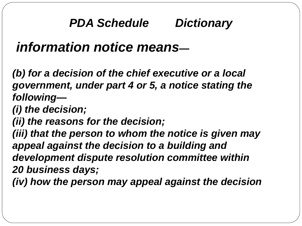## *PDA Schedule Dictionary*

## *information notice means—*

*(b) for a decision of the chief executive or a local government, under part 4 or 5, a notice stating the following—*

*(i) the decision;*

*(ii) the reasons for the decision;*

*(iii) that the person to whom the notice is given may appeal against the decision to a building and development dispute resolution committee within 20 business days;*

*(iv) how the person may appeal against the decision*